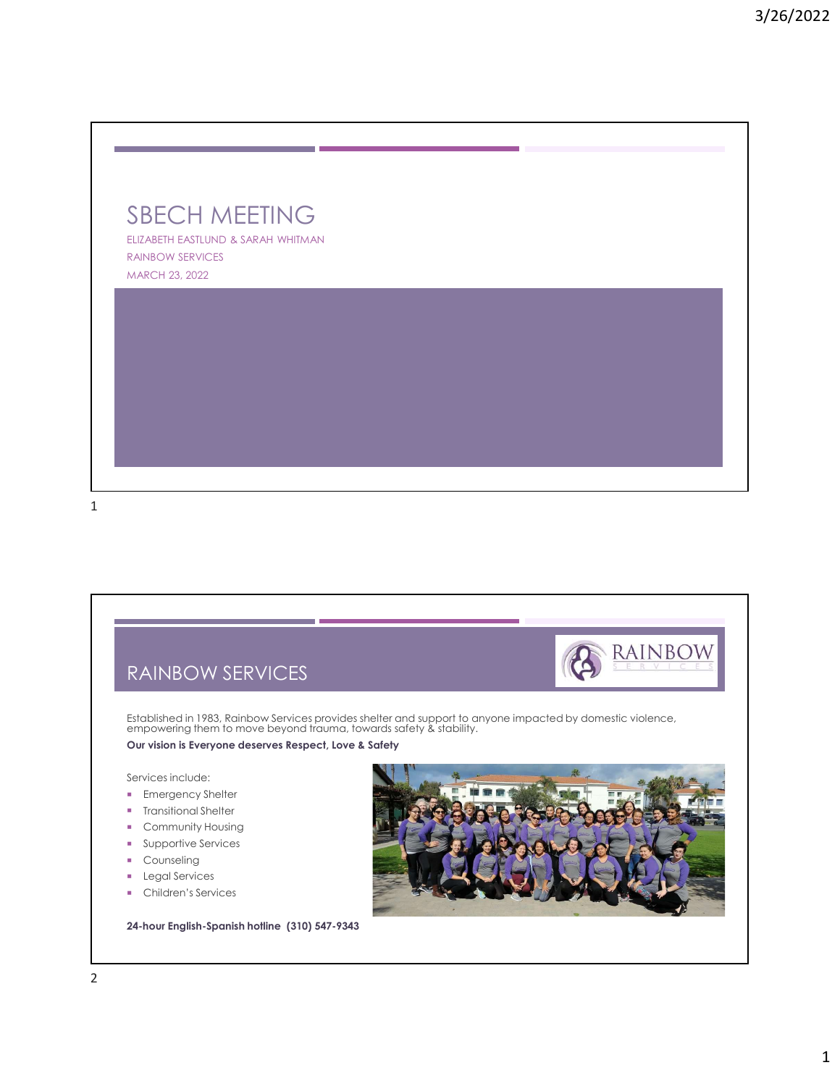



- **Counseling**
- **Legal Services**
- **Children's Services**

24-hour English-Spanish hotline (310) 547-9343

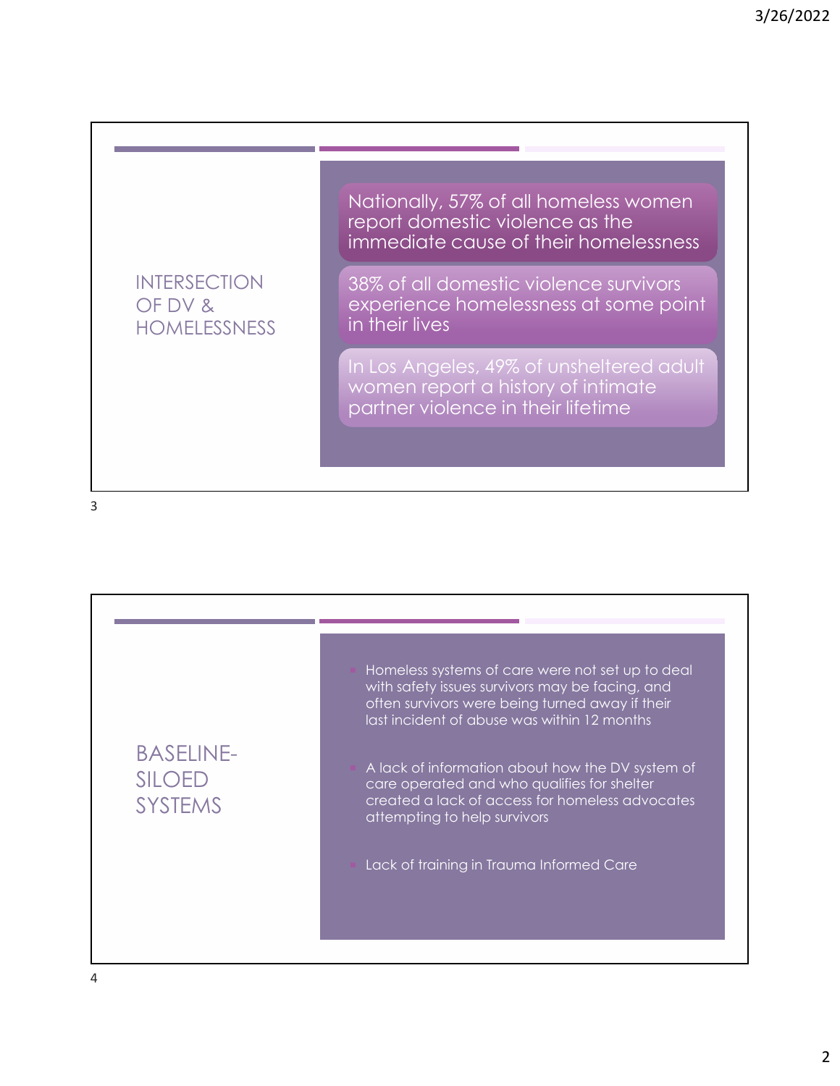## INTERSECTION OF DV & HOMELESSNESS

Nationally, 57% of all homeless women report domestic violence as the immediate cause of their homelessness

38% of all domestic violence survivors experience homelessness at some point in their lives

In Los Angeles, 49% of unsheltered adult women report a history of intimate partner violence in their lifetime

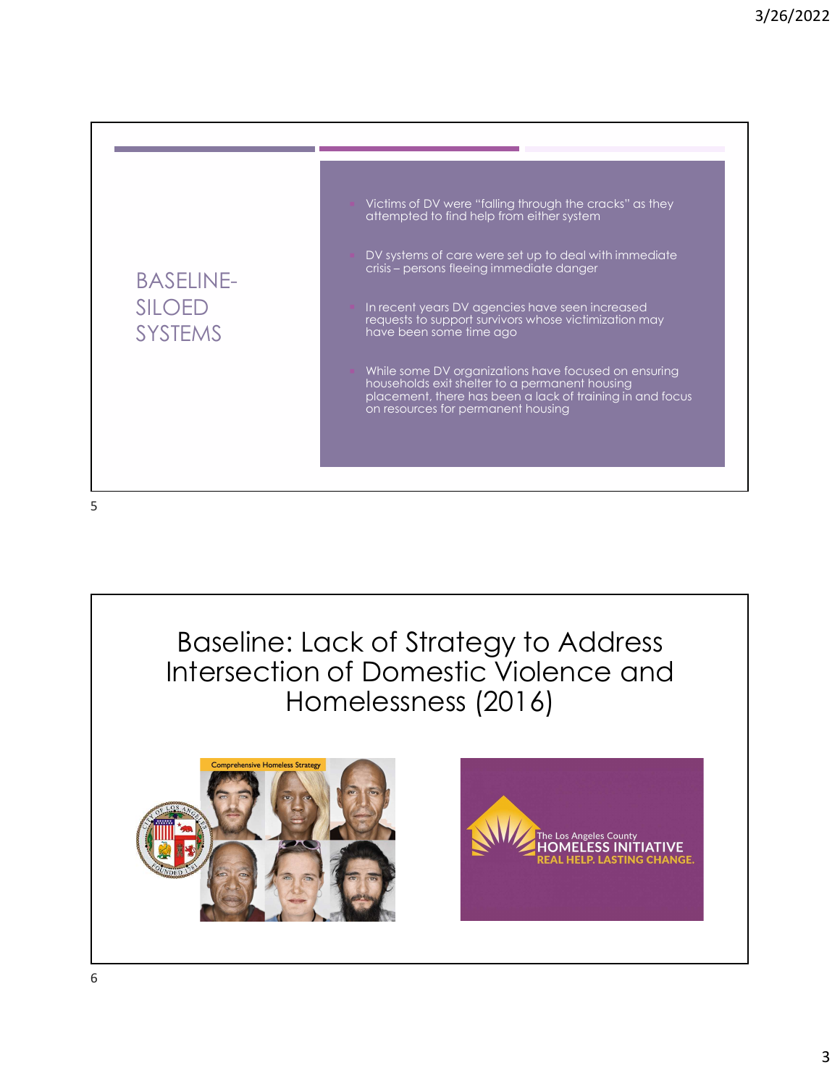

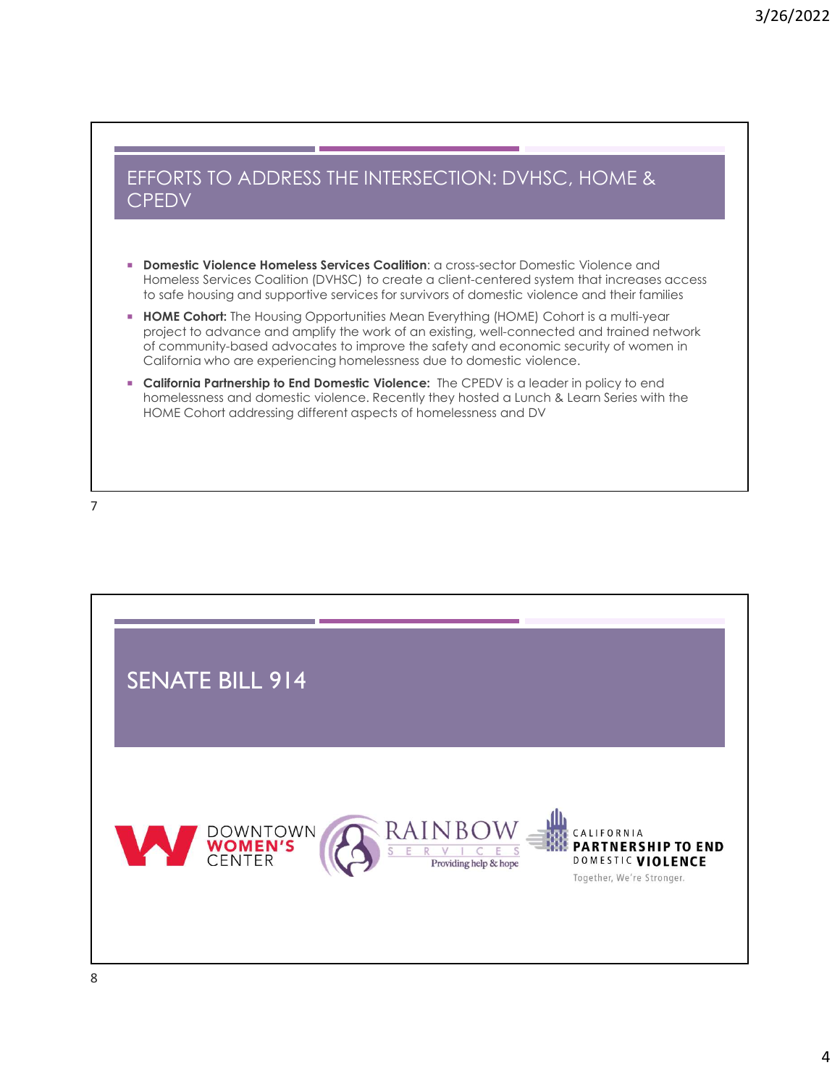#### EFFORTS TO ADDRESS THE INTERSECTION: DVHSC, HOME & **CPEDV**

- **Domestic Violence Homeless Services Coalition: a cross-sector Domestic Violence and** Homeless Services Coalition (DVHSC) to create a client-centered system that increases access to safe housing and supportive services for survivors of domestic violence and their families
- **HOME Cohort:** The Housing Opportunities Mean Everything (HOME) Cohort is a multi-year project to advance and amplify the work of an existing, well-connected and trained network of community-based advocates to improve the safety and economic security of women in California who are experiencing homelessness due to domestic violence.
- **California Partnership to End Domestic Violence:** The CPEDV is a leader in policy to end homelessness and domestic violence. Recently they hosted a Lunch & Learn Series with the HOME Cohort addressing different aspects of homelessness and DV

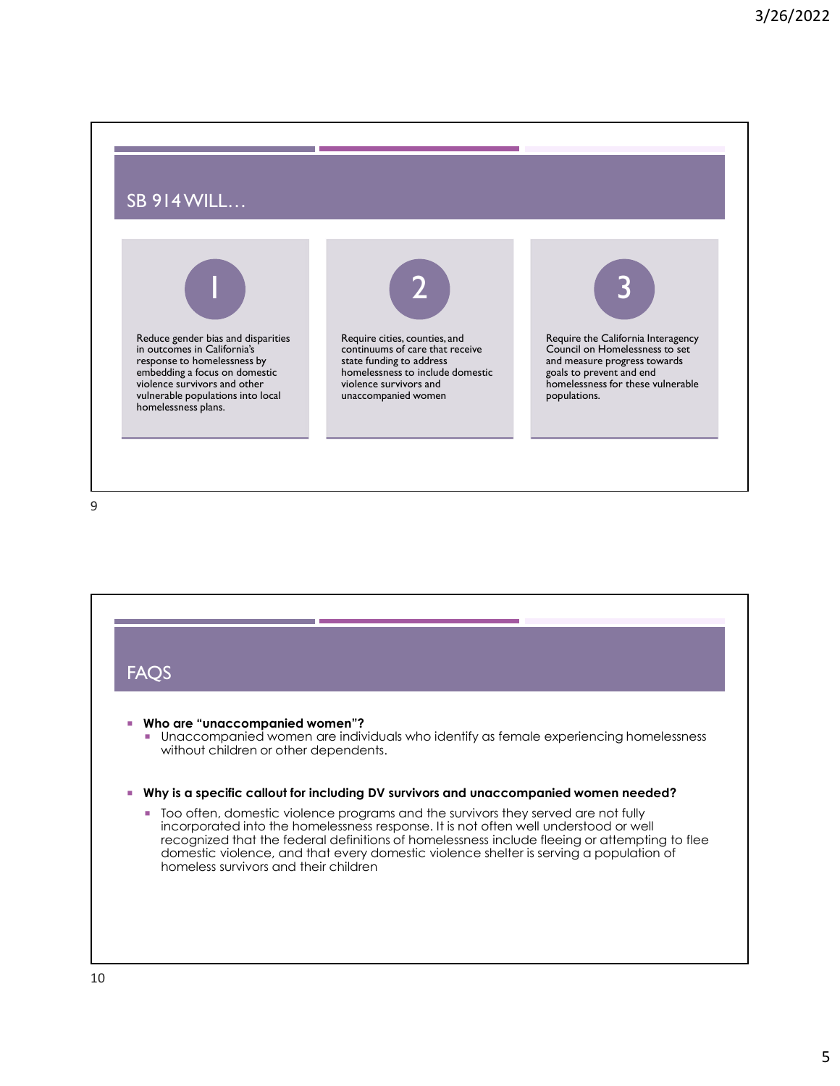## SB 914 WILL…





Require cities, counties, and continuums of care that receive state funding to address homelessness to include domestic violence survivors and unaccompanied women



Require the California Interagency Council on Homelessness to set and measure progress towards goals to prevent and end homelessness for these vulnerable populations.

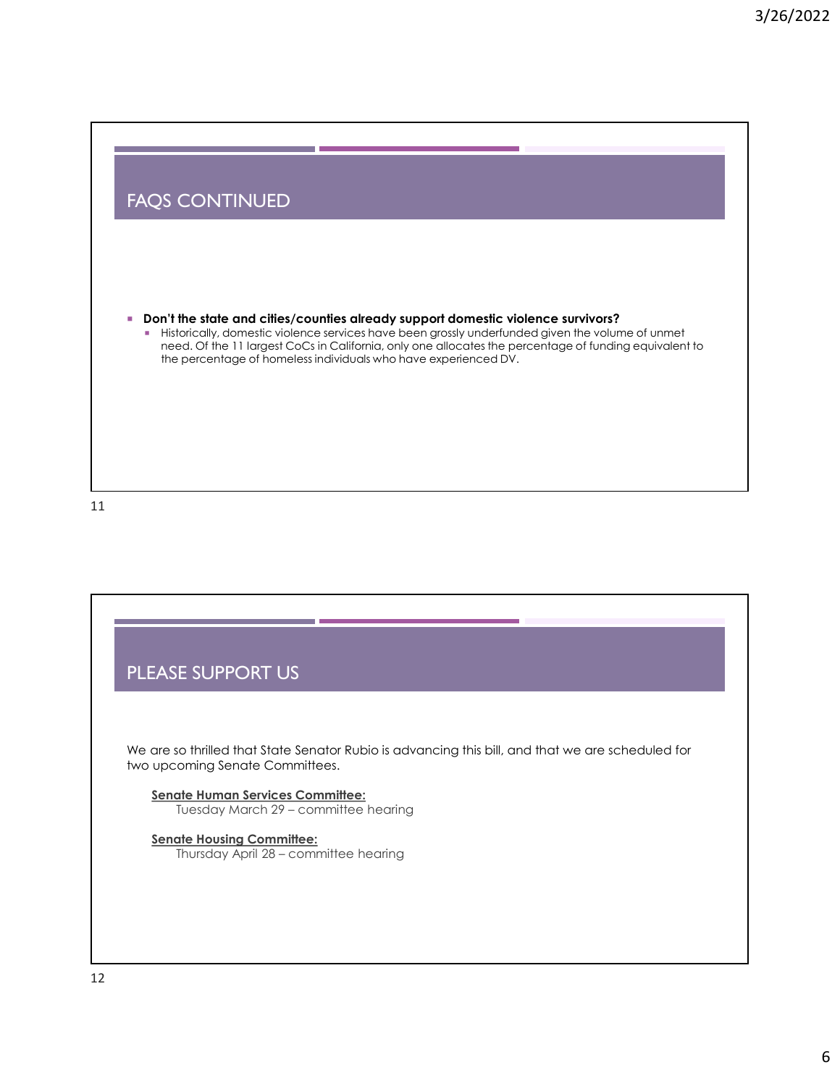#### FAQS CONTINUED

- Don't the state and cities/counties already support domestic violence survivors?
- MOS CONTINUED<br>Historically, domestic violence streedy support domestic violence survivors?<br>Historically, domestic violence services have been grossly underfunded given the volume of unmet<br>the percentage of homeless individ 3/26/2022<br>
S CONTINUED<br>
In the state and cities/counties already support domestic violence survivors?<br>
Historically, domestic violence services have been grossly underlinded given the volume of unmet<br>
Historically, domesti the percentage of homeless individuals who have experienced DV.

11

# PLEASE SUPPORT US We are so thrilled that State Senator Rubio is advancing this bill, and that we are scheduled for two upcoming Senate Committees. Senate Human Services Committee: E SUPPORT US<br>
so thrilled that State Senator Rubio is advancing this bill, and that we are scheduled for<br>
onling Senate Committees.<br>
Tuesday March 29 – committee hearing<br>
In the Husling Committee hearing<br>
In the Husling Co Senate Housing Committee: E SUPPORT US<br>So thrilled that State Senator Rubio is advancing this bill, and that we are scheduled for<br>oming Senate Committees.<br>Thursday March 29 – committee hearing<br>Thursday April 28 – committee hearing<br>Thursday April 28